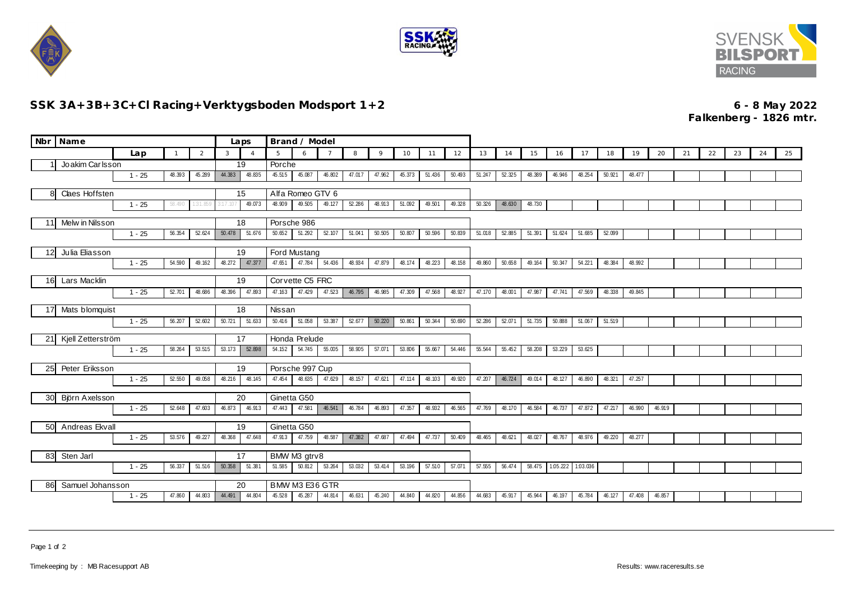





## **SSK 3A+3B+3C+Cl Racing+Verktygsboden Modsport 1+2 6 - 8 May 2022**

**Falkenberg - 1826 mtr.**

|                        | Nbr Name                                        |          |              |        |                        | Laps                  | Brand / Model                                  |              |                |        |        |        |        |        |        |        |        |                            |        |        |        |        |    |    |    |    |    |
|------------------------|-------------------------------------------------|----------|--------------|--------|------------------------|-----------------------|------------------------------------------------|--------------|----------------|--------|--------|--------|--------|--------|--------|--------|--------|----------------------------|--------|--------|--------|--------|----|----|----|----|----|
|                        |                                                 | Lap      | $\mathbf{1}$ | 2      | 3                      | $\overline{A}$        | 5                                              | $\mathsf{A}$ | $\overline{7}$ | 8      | 9      | 10     | 11     | 12     | 13     | 14     | 15     | 16                         | 17     | 18     | 19     | 20     | 21 | 22 | 23 | 24 | 25 |
|                        | Joakim Carlsson                                 |          |              |        |                        | 19                    | Porche                                         |              |                |        |        |        |        |        |        |        |        |                            |        |        |        |        |    |    |    |    |    |
|                        |                                                 | $1 - 25$ | 48.393       | 45.289 | 44.383                 | 48.835                | 45.515                                         | 45.087       | 46.802         | 47.017 | 47.962 | 45.373 | 51.436 | 50.493 | 51.247 | 52.325 | 48.389 | 46.946                     | 48.254 | 50.921 | 48.477 |        |    |    |    |    |    |
| Claes Hoffsten<br>8    |                                                 |          |              |        | 15<br>Alfa Romeo GTV 6 |                       |                                                |              |                |        |        |        |        |        |        |        |        |                            |        |        |        |        |    |    |    |    |    |
|                        | $1 - 25$<br>58.490<br>1:31.859                  |          |              |        | 3:17.107               | 49.073                | 48.909                                         | 49.505       | 49.127         | 52.286 | 48.913 | 51.092 | 49.501 | 49.328 | 50.326 | 48.630 | 48.730 |                            |        |        |        |        |    |    |    |    |    |
| Melw in Nilsson<br>11  |                                                 |          |              |        |                        | Porsche 986           |                                                |              |                |        |        |        |        |        |        |        |        |                            |        |        |        |        |    |    |    |    |    |
|                        |                                                 | $1 - 25$ | 56.354       | 52.624 | 50.478                 | 18<br>51.676          | 50.652                                         | 51.292       | 52.107         | 51.041 | 50.505 | 50.807 | 50.596 | 50.839 | 51.018 | 52.885 | 51.391 | 51.624                     | 51.685 | 52.099 |        |        |    |    |    |    |    |
|                        |                                                 |          |              |        |                        |                       |                                                |              |                |        |        |        |        |        |        |        |        |                            |        |        |        |        |    |    |    |    |    |
| 12                     | Julia Eliasson                                  |          |              |        |                        | 19                    |                                                | Ford Mustang |                |        |        |        |        |        |        |        |        |                            |        |        |        |        |    |    |    |    |    |
|                        |                                                 | $1 - 25$ | 54.590       | 49.162 | 48.272                 | 47.377                | 47.651                                         | 47.784       | 54.436         | 48.934 | 47.879 | 48.174 | 48.223 | 48.158 | 49.860 | 50.658 | 49.164 | 50.347                     | 54.221 | 48.384 | 48.992 |        |    |    |    |    |    |
|                        | Lars Macklin<br>16I                             |          |              |        | Corvette C5 FRC<br>19  |                       |                                                |              |                |        |        |        |        |        |        |        |        |                            |        |        |        |        |    |    |    |    |    |
|                        |                                                 | $1 - 25$ | 52.701       | 48.686 | 48.396                 | 47.893                | 47.163                                         | 47.429       | 47.523         | 46.795 | 46.985 | 47.309 | 47.568 | 48.927 | 47.170 | 48.001 | 47.987 | 47.741                     | 47.569 | 48.338 | 49.845 |        |    |    |    |    |    |
|                        |                                                 |          |              |        |                        |                       |                                                |              |                |        |        |        |        |        |        |        |        |                            |        |        |        |        |    |    |    |    |    |
|                        | Mats blomquist<br>17                            |          |              |        |                        | 18<br>51.633          | Nissan<br>50.416<br>51.058<br>50.861<br>50.344 |              |                |        |        |        |        |        |        | 51.735 | 50.888 |                            | 51.519 |        |        |        |    |    |    |    |    |
|                        |                                                 | $1 - 25$ | 56.207       | 52.602 | 50.721                 |                       |                                                |              | 53.387         | 52.677 | 50.220 |        |        | 50.690 | 52.286 | 52.071 |        |                            | 51.067 |        |        |        |    |    |    |    |    |
| 21                     | Kjell Zetterström                               |          |              |        |                        | 17                    | Honda Prelude                                  |              |                |        |        |        |        |        |        |        |        |                            |        |        |        |        |    |    |    |    |    |
|                        |                                                 | $1 - 25$ | 58.264       | 53.515 | 53.173                 | 52.898                | 54.152                                         | 54.745       | 55.005         | 58.905 | 57.071 | 53.806 | 55.667 | 54.446 | 55.544 | 55.452 | 58.208 | 53.229                     | 53.625 |        |        |        |    |    |    |    |    |
| 25                     | Peter Eriksson                                  |          |              |        |                        | Porsche 997 Cup<br>19 |                                                |              |                |        |        |        |        |        |        |        |        |                            |        |        |        |        |    |    |    |    |    |
|                        |                                                 | $1 - 25$ | 52.550       | 49.058 | 48.216                 | 48.145                | 47.454                                         | 48.635       | 47.629         | 48.157 | 47.621 | 47.114 | 48.103 | 49.920 | 47.207 | 46.724 | 49.014 | 48.127                     | 46.890 | 48.321 | 47.257 |        |    |    |    |    |    |
|                        |                                                 |          |              |        |                        |                       |                                                |              |                |        |        |        |        |        |        |        |        |                            |        |        |        |        |    |    |    |    |    |
|                        | Björn Axelsson<br>30                            |          |              |        |                        | 20                    | Ginetta G50                                    |              |                |        |        |        |        |        |        |        |        |                            |        |        |        |        |    |    |    |    |    |
|                        |                                                 | $1 - 25$ | 52.648       | 47.603 | 46.873                 | 46.913                | 47.443                                         | 47.581       | 46.541         | 46.784 | 46.893 | 47.357 | 48.932 | 46.565 | 47.769 | 48.170 | 46.584 | 46.737                     | 47.872 | 47.217 | 46.990 | 46.919 |    |    |    |    |    |
| Andreas Ekvall<br>50   |                                                 |          |              |        |                        | 19                    | Ginetta G50                                    |              |                |        |        |        |        |        |        |        |        |                            |        |        |        |        |    |    |    |    |    |
|                        |                                                 | $1 - 25$ | 53.576       | 49.227 | 48.368                 | 47.648                | 47.913                                         | 47.759       | 48.587         | 47.382 | 47.687 | 47.494 | 47.737 | 50.409 | 48.465 | 48.621 | 48.027 | 48.767                     | 48.976 | 49.220 | 48.277 |        |    |    |    |    |    |
|                        |                                                 |          |              |        |                        | 17                    | BMW M3 gtrv8                                   |              |                |        |        |        |        |        |        |        |        |                            |        |        |        |        |    |    |    |    |    |
|                        | 83<br>Sten Jarl<br>$1 - 25$<br>56.337<br>51.516 |          |              |        | 50.358                 | 51.381                | 51.585                                         | 50.812       | 53.264         | 53.032 | 53.414 | 53.196 | 57.510 | 57.071 | 57.555 | 56.474 |        | 58.475  1.05.222  1.03.036 |        |        |        |        |    |    |    |    |    |
|                        |                                                 |          |              |        |                        |                       |                                                |              |                |        |        |        |        |        |        |        |        |                            |        |        |        |        |    |    |    |    |    |
| Samuel Johansson<br>86 |                                                 |          |              |        |                        | 20                    | BMW M3 E36 GTR                                 |              |                |        |        |        |        |        |        |        |        |                            |        |        |        |        |    |    |    |    |    |
|                        |                                                 | $1 - 25$ | 47.860       | 44.803 | 44.491                 | 44.804                | 45.528                                         | 45.287       | 44.814         | 46.631 | 45.240 | 44.840 | 44.820 | 44.856 | 44.683 | 45.917 | 45.944 | 46.197                     | 45.784 | 46.127 | 47.408 | 46.857 |    |    |    |    |    |